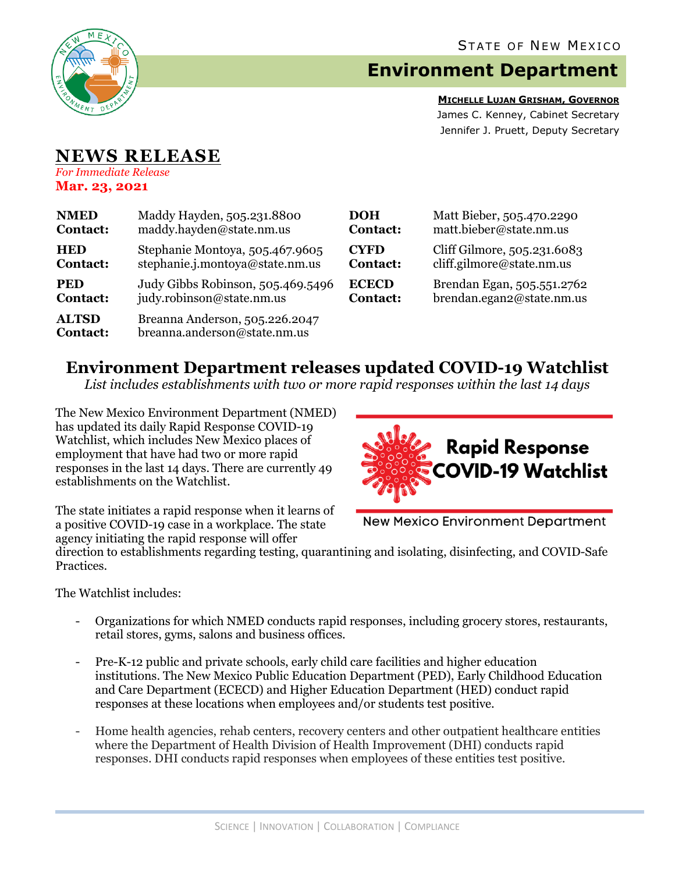

# **Environment Department**

**MICHELLE LUJAN GRISHAM, GOVERNOR** James C. Kenney, Cabinet Secretary Jennifer J. Pruett, Deputy Secretary

### **NEWS RELEASE** *For Immediate Release*

**Mar. 23, 2021**

| <b>NMED</b>                     | Maddy Hayden, 505.231.8800                                     | <b>DOH</b>      | Matt Bieber, 505.470.2290   |
|---------------------------------|----------------------------------------------------------------|-----------------|-----------------------------|
| <b>Contact:</b>                 | maddy.hayden@state.nm.us                                       | <b>Contact:</b> | matt.bieber@state.nm.us     |
| <b>HED</b>                      | Stephanie Montoya, 505.467.9605                                | <b>CYFD</b>     | Cliff Gilmore, 505.231.6083 |
| <b>Contact:</b>                 | stephanie.j.montoya@state.nm.us                                | <b>Contact:</b> | cliff.gilmore@state.nm.us   |
| <b>PED</b>                      | Judy Gibbs Robinson, 505.469.5496                              | <b>ECECD</b>    | Brendan Egan, 505.551.2762  |
| <b>Contact:</b>                 | judy.robinson@state.nm.us                                      | <b>Contact:</b> | brendan.egan2@state.nm.us   |
| <b>ALTSD</b><br><b>Contact:</b> | Breanna Anderson, 505.226.2047<br>breanna.anderson@state.nm.us |                 |                             |

## **Environment Department releases updated COVID-19 Watchlist**

*List includes establishments with two or more rapid responses within the last 14 days*

The New Mexico Environment Department (NMED) has updated its daily Rapid Response COVID-19 Watchlist, which includes New Mexico places of employment that have had two or more rapid responses in the last 14 days. There are currently 49 establishments on the Watchlist.



The state initiates a rapid response when it learns of a positive COVID-19 case in a workplace. The state agency initiating the rapid response will offer

**New Mexico Environment Department** 

direction to establishments regarding testing, quarantining and isolating, disinfecting, and COVID-Safe Practices.

The Watchlist includes:

- Organizations for which NMED conducts rapid responses, including grocery stores, restaurants, retail stores, gyms, salons and business offices.
- Pre-K-12 public and private schools, early child care facilities and higher education institutions. The New Mexico Public Education Department (PED), Early Childhood Education and Care Department (ECECD) and Higher Education Department (HED) conduct rapid responses at these locations when employees and/or students test positive.
- Home health agencies, rehab centers, recovery centers and other outpatient healthcare entities where the Department of Health Division of Health Improvement (DHI) conducts rapid responses. DHI conducts rapid responses when employees of these entities test positive.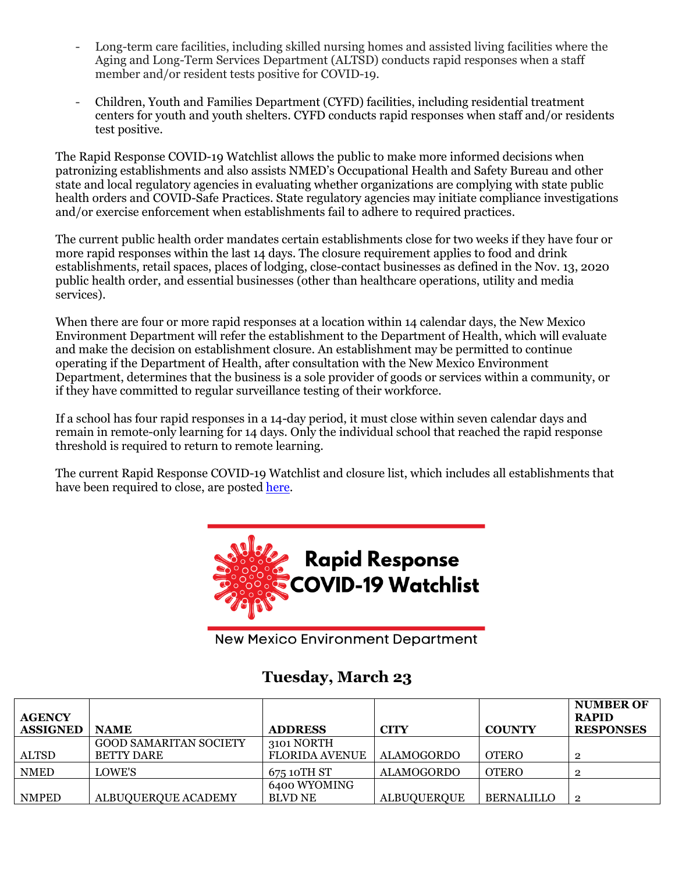- Long-term care facilities, including skilled nursing homes and assisted living facilities where the Aging and Long-Term Services Department (ALTSD) conducts rapid responses when a staff member and/or resident tests positive for COVID-19.
- Children, Youth and Families Department (CYFD) facilities, including residential treatment centers for youth and youth shelters. CYFD conducts rapid responses when staff and/or residents test positive.

The Rapid Response COVID-19 Watchlist allows the public to make more informed decisions when patronizing establishments and also assists NMED's Occupational Health and Safety Bureau and other state and local regulatory agencies in evaluating whether organizations are complying with state public health orders and COVID-Safe Practices. State regulatory agencies may initiate compliance investigations and/or exercise enforcement when establishments fail to adhere to required practices.

The current public health order mandates certain establishments close for two weeks if they have four or more rapid responses within the last 14 days. The closure requirement applies to food and drink establishments, retail spaces, places of lodging, close-contact businesses as defined in the Nov. 13, 2020 public health order, and essential businesses (other than healthcare operations, utility and media services).

When there are four or more rapid responses at a location within 14 calendar days, the New Mexico Environment Department will refer the establishment to the Department of Health, which will evaluate and make the decision on establishment closure. An establishment may be permitted to continue operating if the Department of Health, after consultation with the New Mexico Environment Department, determines that the business is a sole provider of goods or services within a community, or if they have committed to regular surveillance testing of their workforce.

If a school has four rapid responses in a 14-day period, it must close within seven calendar days and remain in remote-only learning for 14 days. Only the individual school that reached the rapid response threshold is required to return to remote learning.

The current Rapid Response COVID-19 Watchlist and closure list, which includes all establishments that have been required to close, are posted [here.](https://www.env.nm.gov/rapid-response-data/)



**New Mexico Environment Department** 

## **Tuesday, March 23**

| <b>AGENCY</b><br><b>ASSIGNED</b> | <b>NAME</b>                                 | <b>ADDRESS</b>                      | <b>CITY</b>        | <b>COUNTY</b>     | <b>NUMBER OF</b><br><b>RAPID</b><br><b>RESPONSES</b> |
|----------------------------------|---------------------------------------------|-------------------------------------|--------------------|-------------------|------------------------------------------------------|
| <b>ALTSD</b>                     | <b>GOOD SAMARITAN SOCIETY</b><br>BETTY DARE | 3101 NORTH<br><b>FLORIDA AVENUE</b> | <b>ALAMOGORDO</b>  | <b>OTERO</b>      | $\overline{2}$                                       |
| <b>NMED</b>                      | LOWE'S                                      | 675 10TH ST                         | <b>ALAMOGORDO</b>  | <b>OTERO</b>      | $\overline{2}$                                       |
| <b>NMPED</b>                     | ALBUQUERQUE ACADEMY                         | 6400 WYOMING<br><b>BLVD NE</b>      | <b>ALBUQUERQUE</b> | <b>BERNALILLO</b> | $\overline{2}$                                       |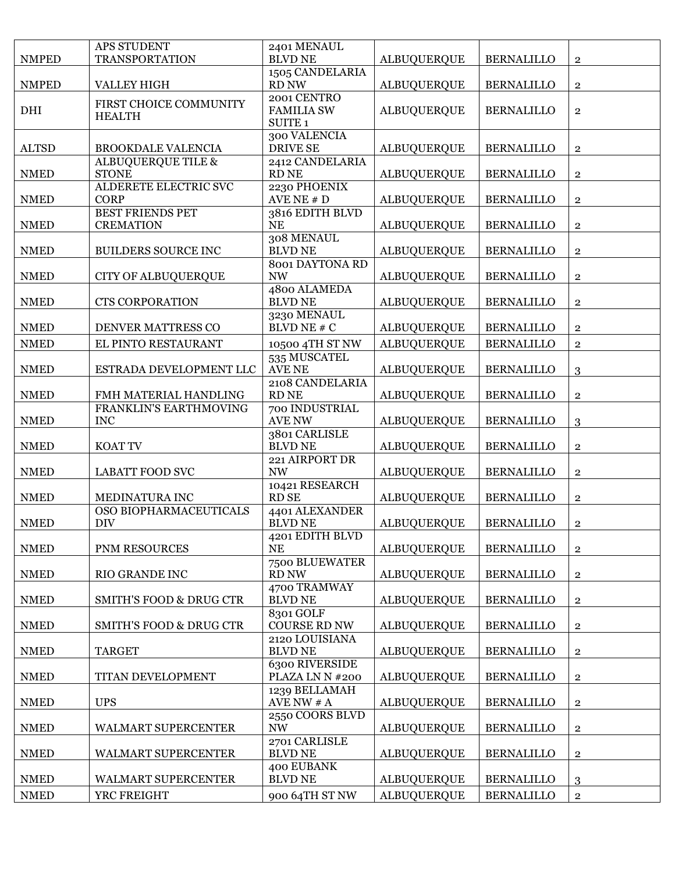|              | APS STUDENT                                 | 2401 MENAUL                                            |                    |                   |                |
|--------------|---------------------------------------------|--------------------------------------------------------|--------------------|-------------------|----------------|
| <b>NMPED</b> | <b>TRANSPORTATION</b>                       | <b>BLVD NE</b>                                         | <b>ALBUQUERQUE</b> | <b>BERNALILLO</b> | $\overline{2}$ |
| <b>NMPED</b> | <b>VALLEY HIGH</b>                          | 1505 CANDELARIA<br>RD NW                               | <b>ALBUQUERQUE</b> | <b>BERNALILLO</b> | $\overline{2}$ |
| <b>DHI</b>   | FIRST CHOICE COMMUNITY<br><b>HEALTH</b>     | 2001 CENTRO<br><b>FAMILIA SW</b><br>SUITE <sub>1</sub> | <b>ALBUQUERQUE</b> | <b>BERNALILLO</b> | $\overline{2}$ |
| <b>ALTSD</b> | <b>BROOKDALE VALENCIA</b>                   | 300 VALENCIA<br><b>DRIVE SE</b>                        | <b>ALBUQUERQUE</b> | <b>BERNALILLO</b> | $\overline{2}$ |
| <b>NMED</b>  | ALBUQUERQUE TILE &<br><b>STONE</b>          | 2412 CANDELARIA<br><b>RD NE</b>                        | <b>ALBUQUERQUE</b> | <b>BERNALILLO</b> | $\overline{2}$ |
| <b>NMED</b>  | ALDERETE ELECTRIC SVC<br><b>CORP</b>        | 2230 PHOENIX<br>AVE NE $# D$                           | <b>ALBUQUERQUE</b> | <b>BERNALILLO</b> | $\mathbf{2}$   |
| <b>NMED</b>  | <b>BEST FRIENDS PET</b><br><b>CREMATION</b> | 3816 EDITH BLVD<br><b>NE</b>                           | <b>ALBUQUERQUE</b> | <b>BERNALILLO</b> | $\mathbf 2$    |
| <b>NMED</b>  | <b>BUILDERS SOURCE INC</b>                  | 308 MENAUL<br><b>BLVD NE</b>                           | <b>ALBUQUERQUE</b> | <b>BERNALILLO</b> | $\mathbf{2}$   |
| <b>NMED</b>  | <b>CITY OF ALBUQUERQUE</b>                  | 8001 DAYTONA RD<br>$\ensuremath{\text{NW}}$            | <b>ALBUQUERQUE</b> | <b>BERNALILLO</b> | $\overline{2}$ |
| <b>NMED</b>  | <b>CTS CORPORATION</b>                      | 4800 ALAMEDA<br><b>BLVD NE</b>                         | <b>ALBUQUERQUE</b> | <b>BERNALILLO</b> | $\overline{2}$ |
| <b>NMED</b>  | DENVER MATTRESS CO                          | 3230 MENAUL<br><b>BLVD NE # C</b>                      | <b>ALBUQUERQUE</b> | <b>BERNALILLO</b> | $\overline{2}$ |
| <b>NMED</b>  | EL PINTO RESTAURANT                         | 10500 4TH ST NW                                        | <b>ALBUQUERQUE</b> | <b>BERNALILLO</b> | $\overline{2}$ |
| <b>NMED</b>  | ESTRADA DEVELOPMENT LLC                     | 535 MUSCATEL<br><b>AVE NE</b>                          | <b>ALBUQUERQUE</b> | <b>BERNALILLO</b> | 3              |
| <b>NMED</b>  | FMH MATERIAL HANDLING                       | 2108 CANDELARIA<br><b>RD NE</b>                        | <b>ALBUQUERQUE</b> | <b>BERNALILLO</b> | $\overline{2}$ |
| <b>NMED</b>  | FRANKLIN'S EARTHMOVING<br><b>INC</b>        | 700 INDUSTRIAL<br><b>AVE NW</b>                        | <b>ALBUQUERQUE</b> | <b>BERNALILLO</b> | 3              |
| <b>NMED</b>  | KOAT TV                                     | 3801 CARLISLE<br><b>BLVD NE</b>                        | <b>ALBUQUERQUE</b> | <b>BERNALILLO</b> | $\overline{2}$ |
| <b>NMED</b>  | <b>LABATT FOOD SVC</b>                      | 221 AIRPORT DR<br><b>NW</b>                            | <b>ALBUQUERQUE</b> | <b>BERNALILLO</b> | $\overline{2}$ |
| <b>NMED</b>  | MEDINATURA INC                              | 10421 RESEARCH<br><b>RD SE</b>                         | <b>ALBUQUERQUE</b> | <b>BERNALILLO</b> | $\overline{2}$ |
| <b>NMED</b>  | OSO BIOPHARMACEUTICALS<br><b>DIV</b>        | 4401 ALEXANDER<br><b>BLVD NE</b>                       | <b>ALBUQUERQUE</b> | <b>BERNALILLO</b> | $\mathbf{2}$   |
| <b>NMED</b>  | PNM RESOURCES                               | 4201 EDITH BLVD<br><b>NE</b>                           | <b>ALBUQUERQUE</b> | <b>BERNALILLO</b> | $\mathbf{2}$   |
| <b>NMED</b>  | RIO GRANDE INC                              | 7500 BLUEWATER<br>RD NW                                | <b>ALBUQUERQUE</b> | <b>BERNALILLO</b> | $\overline{2}$ |
| <b>NMED</b>  | <b>SMITH'S FOOD &amp; DRUG CTR</b>          | 4700 TRAMWAY<br><b>BLVD NE</b>                         | <b>ALBUQUERQUE</b> | <b>BERNALILLO</b> | $\overline{2}$ |
| <b>NMED</b>  | <b>SMITH'S FOOD &amp; DRUG CTR</b>          | 8301 GOLF<br><b>COURSE RD NW</b>                       | <b>ALBUQUERQUE</b> | <b>BERNALILLO</b> | $\mathbf 2$    |
| <b>NMED</b>  | <b>TARGET</b>                               | 2120 LOUISIANA<br><b>BLVD NE</b>                       | <b>ALBUQUERQUE</b> | <b>BERNALILLO</b> | $\overline{2}$ |
| <b>NMED</b>  | TITAN DEVELOPMENT                           | 6300 RIVERSIDE<br>PLAZA LN N #200                      | <b>ALBUQUERQUE</b> | <b>BERNALILLO</b> | $\overline{2}$ |
| <b>NMED</b>  | <b>UPS</b>                                  | 1239 BELLAMAH<br>AVE NW $# A$                          | <b>ALBUQUERQUE</b> | <b>BERNALILLO</b> | $\overline{2}$ |
| <b>NMED</b>  | WALMART SUPERCENTER                         | 2550 COORS BLVD<br><b>NW</b>                           | <b>ALBUQUERQUE</b> | <b>BERNALILLO</b> | $\mathbf 2$    |
| <b>NMED</b>  | WALMART SUPERCENTER                         | 2701 CARLISLE<br><b>BLVD NE</b>                        | <b>ALBUQUERQUE</b> | <b>BERNALILLO</b> | $\overline{2}$ |
| <b>NMED</b>  | WALMART SUPERCENTER                         | 400 EUBANK<br><b>BLVD NE</b>                           | <b>ALBUQUERQUE</b> | <b>BERNALILLO</b> | 3              |
| <b>NMED</b>  | YRC FREIGHT                                 | 900 64TH ST NW                                         | <b>ALBUQUERQUE</b> | <b>BERNALILLO</b> | $\overline{2}$ |
|              |                                             |                                                        |                    |                   |                |